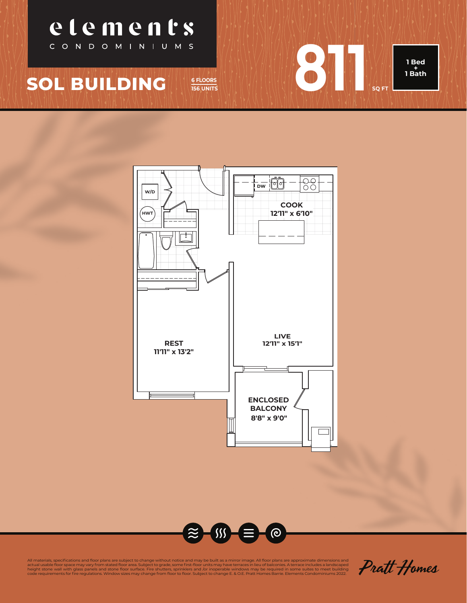

## **SOL BUILDING** *<b>6 FLOORS*







Pratt Homes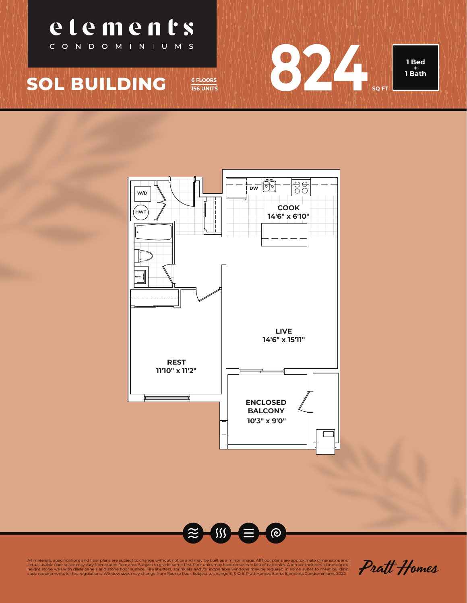

**156 UNITS**







Pratt Homes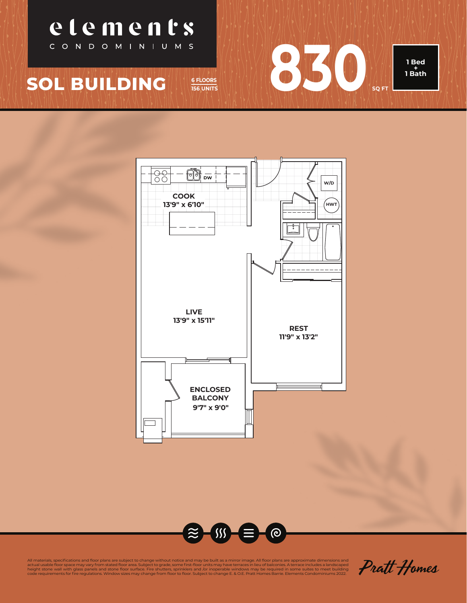



**156 UNITS**



All materials, specifications and floor plans are subject to change without notice and may be built as a mirror image. All floor plans are approximate dimensions and<br>height stone wall with glass panels and stone floor area

Pratt Homes

**1 Bed** 

**SQ FT**

 $830$  .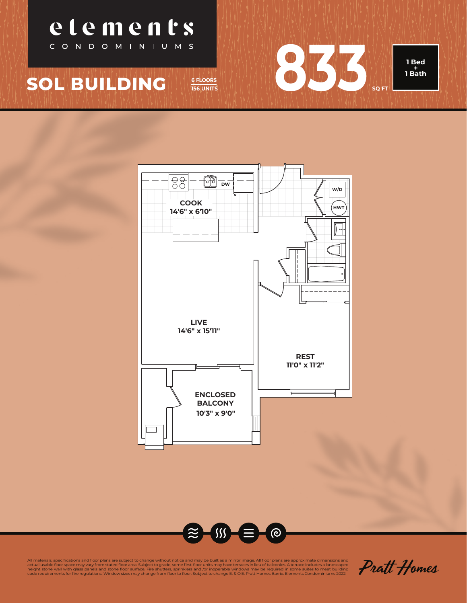

**156 UNITS**







Pratt Homes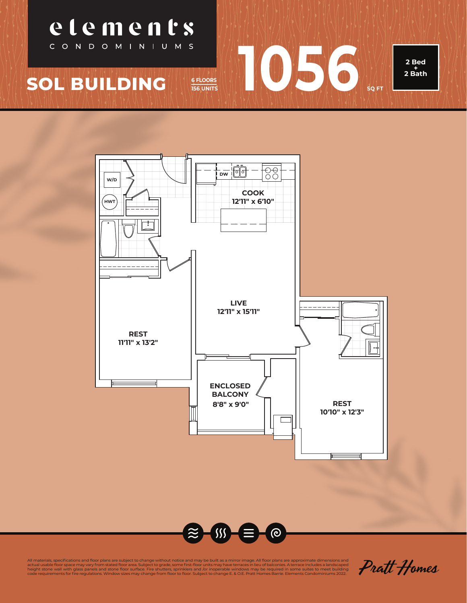



**156 UNITS**

1056

**2 Bed + 2 Bath**



Pratt Homes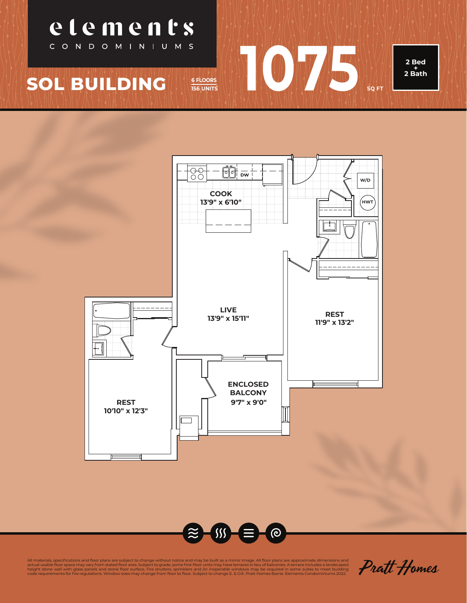

**156 UNITS**

**1075 SQ FT** 

**2 Bed + 2 Bath**

**SOL BUILDING** 

etements

CONDOMINIUMS



Pratt Homes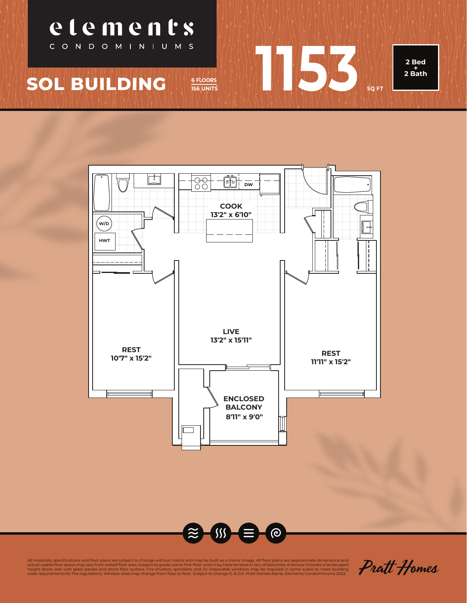



**156 UNITS**

**1156** 

**2 Bed + 2 Bath**



Pratt Homes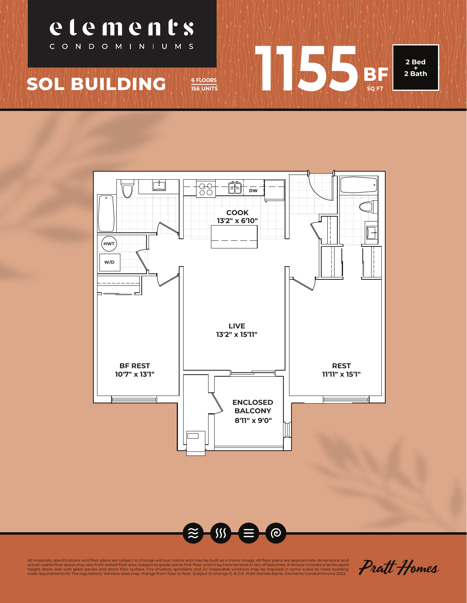



**156 UNITS**

1155 **BF** 

**SQ FT**

**2 Bed + 2 Bath**



Pratt Homes